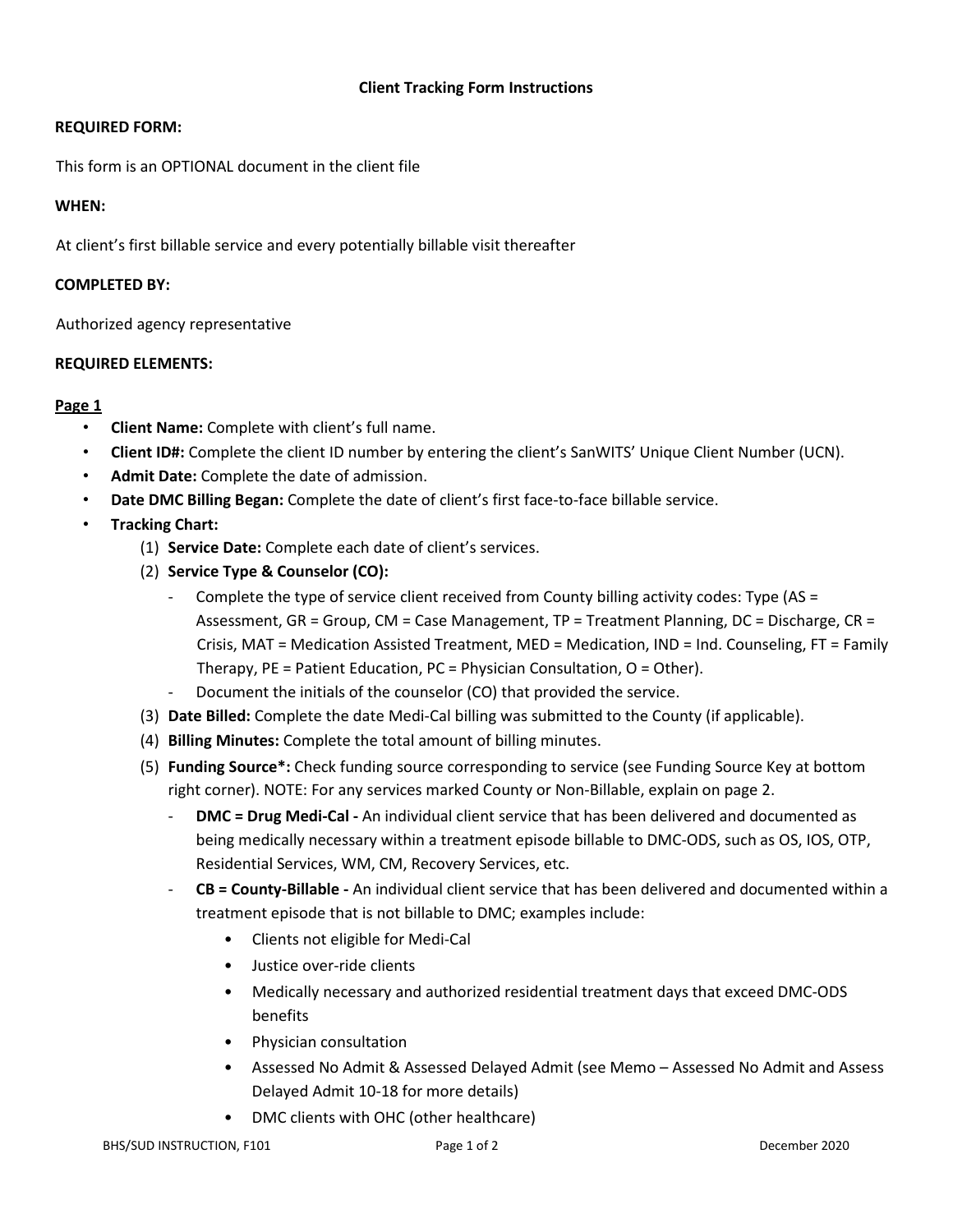# **Client Tracking Form Instructions**

# **REQUIRED FORM:**

This form is an OPTIONAL document in the client file

# **WHEN:**

At client's first billable service and every potentially billable visit thereafter

#### **COMPLETED BY:**

Authorized agency representative

# **REQUIRED ELEMENTS:**

# **Page 1**

- **Client Name:** Complete with client's full name.
- **Client ID#:** Complete the client ID number by entering the client's SanWITS' Unique Client Number (UCN).
- **Admit Date:** Complete the date of admission.
- **Date DMC Billing Began:** Complete the date of client's first face-to-face billable service.
- **Tracking Chart:**
	- (1) **Service Date:** Complete each date of client's services.
	- (2) **Service Type & Counselor (CO):**
		- Complete the type of service client received from County billing activity codes: Type (AS = Assessment, GR = Group, CM = Case Management, TP = Treatment Planning, DC = Discharge, CR = Crisis, MAT = Medication Assisted Treatment, MED = Medication, IND = Ind. Counseling, FT = Family Therapy, PE = Patient Education, PC = Physician Consultation, O = Other).
		- Document the initials of the counselor (CO) that provided the service.
	- (3) **Date Billed:** Complete the date Medi-Cal billing was submitted to the County (if applicable).
	- (4) **Billing Minutes:** Complete the total amount of billing minutes.
	- (5) **Funding Source\*:** Check funding source corresponding to service (see Funding Source Key at bottom right corner). NOTE: For any services marked County or Non-Billable, explain on page 2.
		- **DMC = Drug Medi-Cal -** An individual client service that has been delivered and documented as being medically necessary within a treatment episode billable to DMC-ODS, such as OS, IOS, OTP, Residential Services, WM, CM, Recovery Services, etc.
		- **CB = County-Billable -** An individual client service that has been delivered and documented within a treatment episode that is not billable to DMC; examples include:
			- Clients not eligible for Medi-Cal
			- Justice over-ride clients
			- Medically necessary and authorized residential treatment days that exceed DMC-ODS benefits
			- Physician consultation
			- Assessed No Admit & Assessed Delayed Admit (see Memo Assessed No Admit and Assess Delayed Admit 10-18 for more details)
			- DMC clients with OHC (other healthcare)